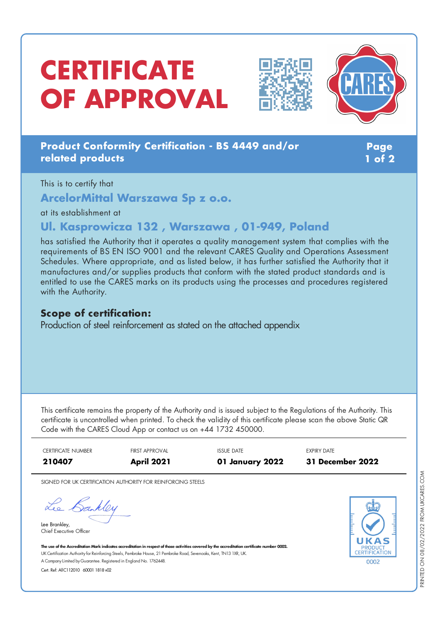# **CERTIFICATE OF APPROVAL**





### **Product Conformity Certification - BS 4449 and/or related products**

**Page 1 of 2**

This is to certify that

**ArcelorMittal Warszawa Sp z o.o.**

at its establishment at

## **Ul. Kasprowicza 132 , Warszawa , 01-949, Poland**

has satisfied the Authority that it operates a quality management system that complies with the requirements of BS EN ISO 9001 and the relevant CARES Quality and Operations Assessment Schedules. Where appropriate, and as listed below, it has further satisfied the Authority that it manufactures and/or supplies products that conform with the stated product standards and is entitled to use the CARES marks on its products using the processes and procedures registered with the Authority.

#### **Scope of certification:**

Production of steel reinforcement as stated on the attached appendix

This certificate remains the property of the Authority and is issued subject to the Regulations of the Authority. This certificate is uncontrolled when printed. To check the validity of this certificate please scan the above Static QR Code with the CARES Cloud App or contact us on +44 1732 450000.

CERTIFICATE NUMBER FIRST APPROVAL ISSUE DATE EXPIRY DATE **210407 April 2021 01 January 2022 31 December 2022**

SIGNED FOR UK CERTIFICATION AUTHORITY FOR REINFORCING STEELS

Lee Bankley

Lee Brankley, Chief Executive Officer 0002

The use of the Accreditation Mark indicates accreditation in respect of those activities covered by the accreditation certificate number 0002. UK Certification Authority for Reinforcing Steels, Pembroke House, 21 Pembroke Road, Sevenoaks, Kent, TN13 1XR, UK. A CompanyLimited byGuarantee. Registered in England No. 1762448.

Cert. Ref: AllC112010 60001 1818 v02